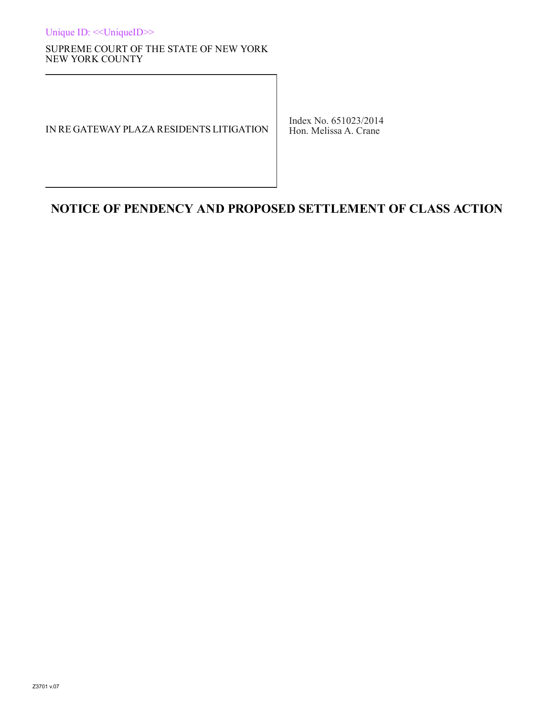Unique ID: <<UniqueID>>

#### SUPREME COURT OF THE STATE OF NEW YORK NEW YORK COUNTY

#### IN RE GATEWAY PLAZA RESIDENTS LITIGATION

Index No. 651023/2014 Hon. Melissa A. Crane

# **NOTICE OF PENDENCY AND PROPOSED SETTLEMENT OF CLASS ACTION**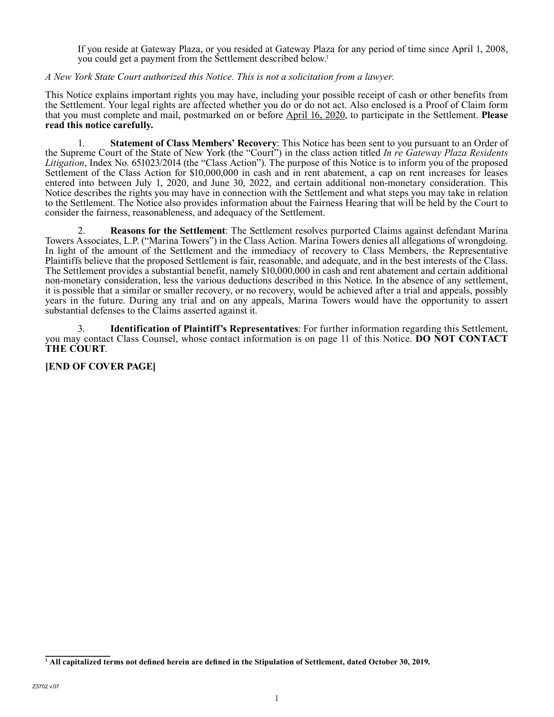If you reside at Gateway Plaza, or you resided at Gateway Plaza for any period of time since April 1, 2008, you could get a payment from the Settlement described below.<sup>1</sup>

#### *A New York State Court authorized this Notice. This is not a solicitation from a lawyer.*

This Notice explains important rights you may have, including your possible receipt of cash or other benefits from the Settlement. Your legal rights are affected whether you do or do not act. Also enclosed is a Proof of Claim form that you must complete and mail, postmarked on or before April 16, 2020, to participate in the Settlement. **Please read this notice carefully.**

1. **Statement of Class Members' Recovery**: This Notice has been sent to you pursuant to an Order of the Supreme Court of the State of New York (the "Court") in the class action titled *In re Gateway Plaza Residents Litigation*, Index No. 651023/2014 (the "Class Action"). The purpose of this Notice is to inform you of the proposed Settlement of the Class Action for \$10,000,000 in cash and in rent abatement, a cap on rent increases for leases entered into between July 1, 2020, and June 30, 2022, and certain additional non-monetary consideration. This Notice describes the rights you may have in connection with the Settlement and what steps you may take in relation to the Settlement. The Notice also provides information about the Fairness Hearing that will be held by the Court to consider the fairness, reasonableness, and adequacy of the Settlement.

2. **Reasons for the Settlement**: The Settlement resolves purported Claims against defendant Marina Towers Associates, L.P. ("Marina Towers") in the Class Action. Marina Towers denies all allegations of wrongdoing. In light of the amount of the Settlement and the immediacy of recovery to Class Members, the Representative Plaintiffs believe that the proposed Settlement is fair, reasonable, and adequate, and in the best interests of the Class. The Settlement provides a substantial benefit, namely \$10,000,000 in cash and rent abatement and certain additional non-monetary consideration, less the various deductions described in this Notice. In the absence of any settlement, it is possible that a similar or smaller recovery, or no recovery, would be achieved after a trial and appeals, possibly years in the future. During any trial and on any appeals, Marina Towers would have the opportunity to assert substantial defenses to the Claims asserted against it.

3. **Identification of Plaintiff's Representatives**: For further information regarding this Settlement, you may contact Class Counsel, whose contact information is on page 11 of this Notice. **DO NOT CONTACT THE COURT**.

## **[END OF COVER PAGE]**

**<sup>1</sup> All capitalized terms not defined herein are defined in the Stipulation of Settlement, dated October 30, 2019.**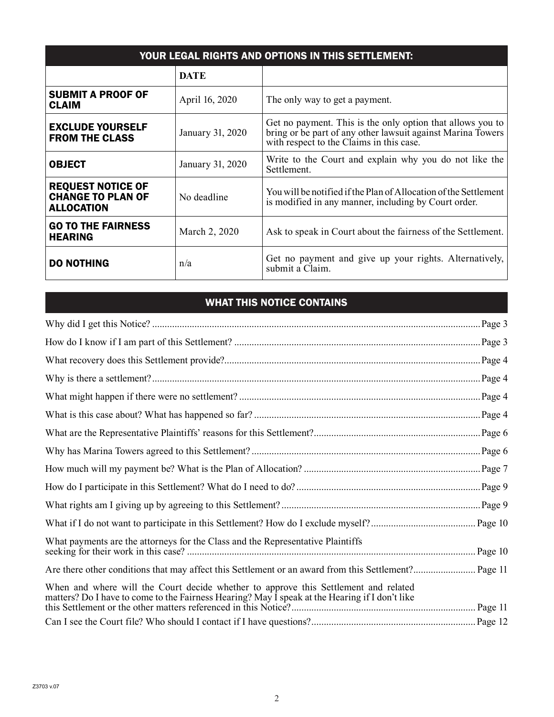| YOUR LEGAL RIGHTS AND OPTIONS IN THIS SETTLEMENT:                         |                  |                                                                                                                                                                       |  |  |  |
|---------------------------------------------------------------------------|------------------|-----------------------------------------------------------------------------------------------------------------------------------------------------------------------|--|--|--|
|                                                                           | <b>DATE</b>      |                                                                                                                                                                       |  |  |  |
| <b>SUBMIT A PROOF OF</b><br><b>CLAIM</b>                                  | April 16, 2020   | The only way to get a payment.                                                                                                                                        |  |  |  |
| <b>EXCLUDE YOURSELF</b><br><b>FROM THE CLASS</b>                          | January 31, 2020 | Get no payment. This is the only option that allows you to<br>bring or be part of any other lawsuit against Marina Towers<br>with respect to the Claims in this case. |  |  |  |
| <b>OBJECT</b>                                                             | January 31, 2020 | Write to the Court and explain why you do not like the<br>Settlement.                                                                                                 |  |  |  |
| <b>REQUEST NOTICE OF</b><br><b>CHANGE TO PLAN OF</b><br><b>ALLOCATION</b> | No deadline      | You will be notified if the Plan of Allocation of the Settlement<br>is modified in any manner, including by Court order.                                              |  |  |  |
| <b>GO TO THE FAIRNESS</b><br><b>HEARING</b>                               | March 2, 2020    | Ask to speak in Court about the fairness of the Settlement.                                                                                                           |  |  |  |
| <b>DO NOTHING</b>                                                         | n/a              | Get no payment and give up your rights. Alternatively,<br>submit a Claim.                                                                                             |  |  |  |

# WHAT THIS NOTICE CONTAINS

|                                                                                                                                                                                       | Page 3  |
|---------------------------------------------------------------------------------------------------------------------------------------------------------------------------------------|---------|
|                                                                                                                                                                                       | .Page 4 |
|                                                                                                                                                                                       | Page 4  |
|                                                                                                                                                                                       | .Page 4 |
|                                                                                                                                                                                       |         |
|                                                                                                                                                                                       |         |
|                                                                                                                                                                                       |         |
|                                                                                                                                                                                       | Page 7  |
|                                                                                                                                                                                       |         |
|                                                                                                                                                                                       |         |
|                                                                                                                                                                                       |         |
| What payments are the attorneys for the Class and the Representative Plaintiffs                                                                                                       | Page 10 |
|                                                                                                                                                                                       |         |
| When and where will the Court decide whether to approve this Settlement and related<br>matters? Do I have to come to the Fairness Hearing? May I speak at the Hearing if I don't like |         |
|                                                                                                                                                                                       |         |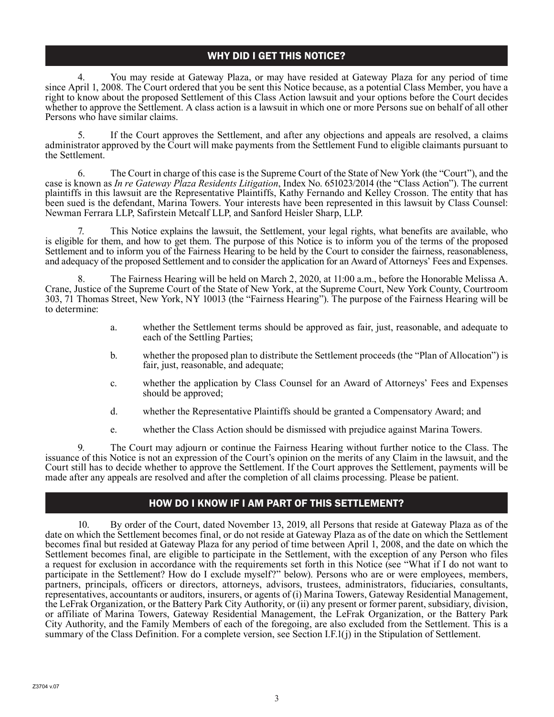# WHY DID I GET THIS NOTICE?

4. You may reside at Gateway Plaza, or may have resided at Gateway Plaza for any period of time since April 1, 2008. The Court ordered that you be sent this Notice because, as a potential Class Member, you have a right to know about the proposed Settlement of this Class Action lawsuit and your options before the Court decides whether to approve the Settlement. A class action is a lawsuit in which one or more Persons sue on behalf of all other Persons who have similar claims.

5. If the Court approves the Settlement, and after any objections and appeals are resolved, a claims administrator approved by the Court will make payments from the Settlement Fund to eligible claimants pursuant to the Settlement.

6. The Court in charge of this case is the Supreme Court of the State of New York (the "Court"), and the case is known as *In re Gateway Plaza Residents Litigation*, Index No. 651023/2014 (the "Class Action"). The current plaintiffs in this lawsuit are the Representative Plaintiffs, Kathy Fernando and Kelley Crosson. The entity that has been sued is the defendant, Marina Towers. Your interests have been represented in this lawsuit by Class Counsel: Newman Ferrara LLP, Safirstein Metcalf LLP, and Sanford Heisler Sharp, LLP.

This Notice explains the lawsuit, the Settlement, your legal rights, what benefits are available, who is eligible for them, and how to get them. The purpose of this Notice is to inform you of the terms of the proposed Settlement and to inform you of the Fairness Hearing to be held by the Court to consider the fairness, reasonableness, and adequacy of the proposed Settlement and to consider the application for an Award of Attorneys' Fees and Expenses.

8. The Fairness Hearing will be held on March 2, 2020, at 11:00 a.m., before the Honorable Melissa A. Crane, Justice of the Supreme Court of the State of New York, at the Supreme Court, New York County, Courtroom 303, 71 Thomas Street, New York, NY 10013 (the "Fairness Hearing"). The purpose of the Fairness Hearing will be to determine:

- a. whether the Settlement terms should be approved as fair, just, reasonable, and adequate to each of the Settling Parties;
- b. whether the proposed plan to distribute the Settlement proceeds (the "Plan of Allocation") is fair, just, reasonable, and adequate;
- c. whether the application by Class Counsel for an Award of Attorneys' Fees and Expenses should be approved;
- d. whether the Representative Plaintiffs should be granted a Compensatory Award; and
- e. whether the Class Action should be dismissed with prejudice against Marina Towers.

9. The Court may adjourn or continue the Fairness Hearing without further notice to the Class. The issuance of this Notice is not an expression of the Court's opinion on the merits of any Claim in the lawsuit, and the Court still has to decide whether to approve the Settlement. If the Court approves the Settlement, payments will be made after any appeals are resolved and after the completion of all claims processing. Please be patient.

## HOW DO I KNOW IF I AM PART OF THIS SETTLEMENT?

10. By order of the Court, dated November 13, 2019, all Persons that reside at Gateway Plaza as of the date on which the Settlement becomes final, or do not reside at Gateway Plaza as of the date on which the Settlement becomes final but resided at Gateway Plaza for any period of time between April 1, 2008, and the date on which the Settlement becomes final, are eligible to participate in the Settlement, with the exception of any Person who files a request for exclusion in accordance with the requirements set forth in this Notice (see "What if I do not want to participate in the Settlement? How do I exclude myself?" below). Persons who are or were employees, members, partners, principals, officers or directors, attorneys, advisors, trustees, administrators, fiduciaries, consultants, representatives, accountants or auditors, insurers, or agents of (i) Marina Towers, Gateway Residential Management, the LeFrak Organization, or the Battery Park City Authority, or (ii) any present or former parent, subsidiary, division, or affiliate of Marina Towers, Gateway Residential Management, the LeFrak Organization, or the Battery Park City Authority, and the Family Members of each of the foregoing, are also excluded from the Settlement. This is a summary of the Class Definition. For a complete version, see Section I.F.1(j) in the Stipulation of Settlement.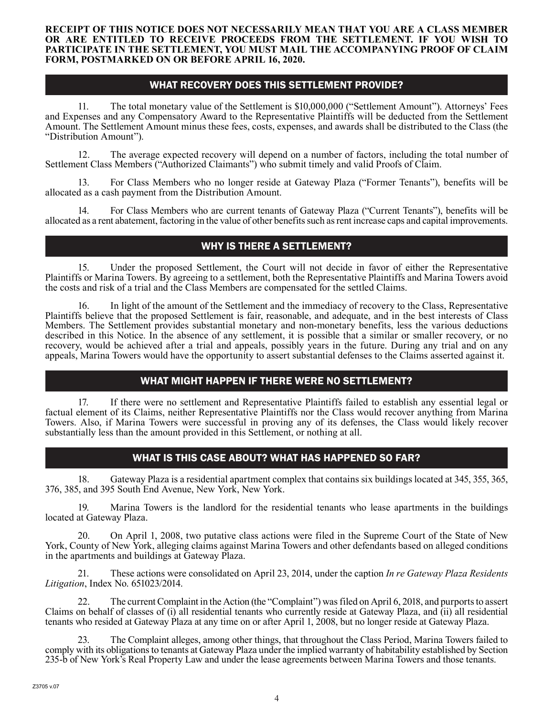#### **RECEIPT OF THIS NOTICE DOES NOT NECESSARILY MEAN THAT YOU ARE A CLASS MEMBER OR ARE ENTITLED TO RECEIVE PROCEEDS FROM THE SETTLEMENT. IF YOU WISH TO PARTICIPATE IN THE SETTLEMENT, YOU MUST MAIL THE ACCOMPANYING PROOF OF CLAIM FORM, POSTMARKED ON OR BEFORE APRIL 16, 2020.**

#### WHAT RECOVERY DOES THIS SETTLEMENT PROVIDE?

11. The total monetary value of the Settlement is \$10,000,000 ("Settlement Amount"). Attorneys' Fees and Expenses and any Compensatory Award to the Representative Plaintiffs will be deducted from the Settlement Amount. The Settlement Amount minus these fees, costs, expenses, and awards shall be distributed to the Class (the "Distribution Amount").

12. The average expected recovery will depend on a number of factors, including the total number of Settlement Class Members ("Authorized Claimants") who submit timely and valid Proofs of Claim.

13. For Class Members who no longer reside at Gateway Plaza ("Former Tenants"), benefits will be allocated as a cash payment from the Distribution Amount.

14. For Class Members who are current tenants of Gateway Plaza ("Current Tenants"), benefits will be allocated as a rent abatement, factoring in the value of other benefits such as rent increase caps and capital improvements.

# WHY IS THERE A SETTLEMENT?

15. Under the proposed Settlement, the Court will not decide in favor of either the Representative Plaintiffs or Marina Towers. By agreeing to a settlement, both the Representative Plaintiffs and Marina Towers avoid the costs and risk of a trial and the Class Members are compensated for the settled Claims.

16. In light of the amount of the Settlement and the immediacy of recovery to the Class, Representative Plaintiffs believe that the proposed Settlement is fair, reasonable, and adequate, and in the best interests of Class Members. The Settlement provides substantial monetary and non-monetary benefits, less the various deductions described in this Notice. In the absence of any settlement, it is possible that a similar or smaller recovery, or no recovery, would be achieved after a trial and appeals, possibly years in the future. During any trial and on any appeals, Marina Towers would have the opportunity to assert substantial defenses to the Claims asserted against it.

## WHAT MIGHT HAPPEN IF THERE WERE NO SETTLEMENT?

17. If there were no settlement and Representative Plaintiffs failed to establish any essential legal or factual element of its Claims, neither Representative Plaintiffs nor the Class would recover anything from Marina Towers. Also, if Marina Towers were successful in proving any of its defenses, the Class would likely recover substantially less than the amount provided in this Settlement, or nothing at all.

# WHAT IS THIS CASE ABOUT? WHAT HAS HAPPENED SO FAR?

18. Gateway Plaza is a residential apartment complex that contains six buildings located at 345, 355, 365, 376, 385, and 395 South End Avenue, New York, New York.

19. Marina Towers is the landlord for the residential tenants who lease apartments in the buildings located at Gateway Plaza.

20. On April 1, 2008, two putative class actions were filed in the Supreme Court of the State of New York, County of New York, alleging claims against Marina Towers and other defendants based on alleged conditions in the apartments and buildings at Gateway Plaza.

21. These actions were consolidated on April 23, 2014, under the caption *In re Gateway Plaza Residents Litigation*, Index No. 651023/2014.

The current Complaint in the Action (the "Complaint") was filed on April 6, 2018, and purports to assert Claims on behalf of classes of (i) all residential tenants who currently reside at Gateway Plaza, and (ii) all residential tenants who resided at Gateway Plaza at any time on or after April 1, 2008, but no longer reside at Gateway Plaza.

23. The Complaint alleges, among other things, that throughout the Class Period, Marina Towers failed to comply with its obligations to tenants at Gateway Plaza under the implied warranty of habitability established by Section 235-b of New York's Real Property Law and under the lease agreements between Marina Towers and those tenants.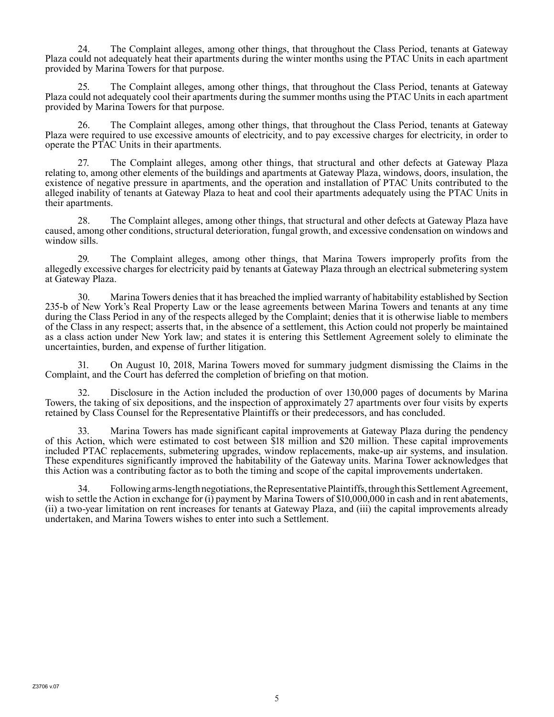24. The Complaint alleges, among other things, that throughout the Class Period, tenants at Gateway Plaza could not adequately heat their apartments during the winter months using the PTAC Units in each apartment provided by Marina Towers for that purpose.

25. The Complaint alleges, among other things, that throughout the Class Period, tenants at Gateway Plaza could not adequately cool their apartments during the summer months using the PTAC Units in each apartment provided by Marina Towers for that purpose.

26. The Complaint alleges, among other things, that throughout the Class Period, tenants at Gateway Plaza were required to use excessive amounts of electricity, and to pay excessive charges for electricity, in order to operate the PTAC Units in their apartments.

27. The Complaint alleges, among other things, that structural and other defects at Gateway Plaza relating to, among other elements of the buildings and apartments at Gateway Plaza, windows, doors, insulation, the existence of negative pressure in apartments, and the operation and installation of PTAC Units contributed to the alleged inability of tenants at Gateway Plaza to heat and cool their apartments adequately using the PTAC Units in their apartments.

28. The Complaint alleges, among other things, that structural and other defects at Gateway Plaza have caused, among other conditions, structural deterioration, fungal growth, and excessive condensation on windows and window sills.

29. The Complaint alleges, among other things, that Marina Towers improperly profits from the allegedly excessive charges for electricity paid by tenants at Gateway Plaza through an electrical submetering system at Gateway Plaza.

30. Marina Towers denies that it has breached the implied warranty of habitability established by Section 235-b of New York's Real Property Law or the lease agreements between Marina Towers and tenants at any time during the Class Period in any of the respects alleged by the Complaint; denies that it is otherwise liable to members of the Class in any respect; asserts that, in the absence of a settlement, this Action could not properly be maintained as a class action under New York law; and states it is entering this Settlement Agreement solely to eliminate the uncertainties, burden, and expense of further litigation.

31. On August 10, 2018, Marina Towers moved for summary judgment dismissing the Claims in the Complaint, and the Court has deferred the completion of briefing on that motion.

32. Disclosure in the Action included the production of over 130,000 pages of documents by Marina Towers, the taking of six depositions, and the inspection of approximately 27 apartments over four visits by experts retained by Class Counsel for the Representative Plaintiffs or their predecessors, and has concluded.

33. Marina Towers has made significant capital improvements at Gateway Plaza during the pendency of this Action, which were estimated to cost between \$18 million and \$20 million. These capital improvements included PTAC replacements, submetering upgrades, window replacements, make-up air systems, and insulation. These expenditures significantly improved the habitability of the Gateway units. Marina Tower acknowledges that this Action was a contributing factor as to both the timing and scope of the capital improvements undertaken.

34. Following arms-length negotiations, the Representative Plaintiffs, through this Settlement Agreement, wish to settle the Action in exchange for (i) payment by Marina Towers of \$10,000,000 in cash and in rent abatements, (ii) a two-year limitation on rent increases for tenants at Gateway Plaza, and (iii) the capital improvements already undertaken, and Marina Towers wishes to enter into such a Settlement.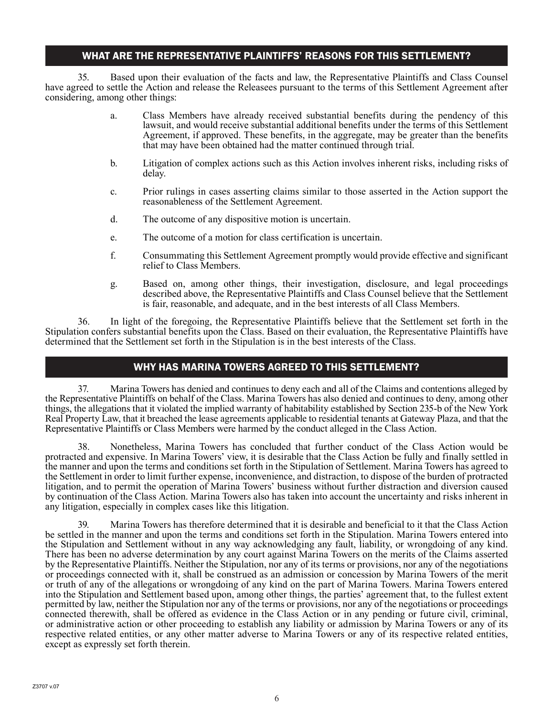## WHAT ARE THE REPRESENTATIVE PLAINTIFFS' REASONS FOR THIS SETTLEMENT?

35. Based upon their evaluation of the facts and law, the Representative Plaintiffs and Class Counsel have agreed to settle the Action and release the Releasees pursuant to the terms of this Settlement Agreement after considering, among other things:

- a. Class Members have already received substantial benefits during the pendency of this lawsuit, and would receive substantial additional benefits under the terms of this Settlement Agreement, if approved. These benefits, in the aggregate, may be greater than the benefits that may have been obtained had the matter continued through trial.
- b. Litigation of complex actions such as this Action involves inherent risks, including risks of delay.
- c. Prior rulings in cases asserting claims similar to those asserted in the Action support the reasonableness of the Settlement Agreement.
- d. The outcome of any dispositive motion is uncertain.
- e. The outcome of a motion for class certification is uncertain.
- f. Consummating this Settlement Agreement promptly would provide effective and significant relief to Class Members.
- g. Based on, among other things, their investigation, disclosure, and legal proceedings described above, the Representative Plaintiffs and Class Counsel believe that the Settlement is fair, reasonable, and adequate, and in the best interests of all Class Members.

36. In light of the foregoing, the Representative Plaintiffs believe that the Settlement set forth in the Stipulation confers substantial benefits upon the Class. Based on their evaluation, the Representative Plaintiffs have determined that the Settlement set forth in the Stipulation is in the best interests of the Class.

## WHY HAS MARINA TOWERS AGREED TO THIS SETTLEMENT?

37. Marina Towers has denied and continues to deny each and all of the Claims and contentions alleged by the Representative Plaintiffs on behalf of the Class. Marina Towers has also denied and continues to deny, among other things, the allegations that it violated the implied warranty of habitability established by Section 235-b of the New York Real Property Law, that it breached the lease agreements applicable to residential tenants at Gateway Plaza, and that the Representative Plaintiffs or Class Members were harmed by the conduct alleged in the Class Action.

38. Nonetheless, Marina Towers has concluded that further conduct of the Class Action would be protracted and expensive. In Marina Towers' view, it is desirable that the Class Action be fully and finally settled in the manner and upon the terms and conditions set forth in the Stipulation of Settlement. Marina Towers has agreed to the Settlement in order to limit further expense, inconvenience, and distraction, to dispose of the burden of protracted litigation, and to permit the operation of Marina Towers' business without further distraction and diversion caused by continuation of the Class Action. Marina Towers also has taken into account the uncertainty and risks inherent in any litigation, especially in complex cases like this litigation.

39. Marina Towers has therefore determined that it is desirable and beneficial to it that the Class Action be settled in the manner and upon the terms and conditions set forth in the Stipulation. Marina Towers entered into the Stipulation and Settlement without in any way acknowledging any fault, liability, or wrongdoing of any kind. There has been no adverse determination by any court against Marina Towers on the merits of the Claims asserted by the Representative Plaintiffs. Neither the Stipulation, nor any of its terms or provisions, nor any of the negotiations or proceedings connected with it, shall be construed as an admission or concession by Marina Towers of the merit or truth of any of the allegations or wrongdoing of any kind on the part of Marina Towers. Marina Towers entered into the Stipulation and Settlement based upon, among other things, the parties' agreement that, to the fullest extent permitted by law, neither the Stipulation nor any of the terms or provisions, nor any of the negotiations or proceedings connected therewith, shall be offered as evidence in the Class Action or in any pending or future civil, criminal, or administrative action or other proceeding to establish any liability or admission by Marina Towers or any of its respective related entities, or any other matter adverse to Marina Towers or any of its respective related entities, except as expressly set forth therein.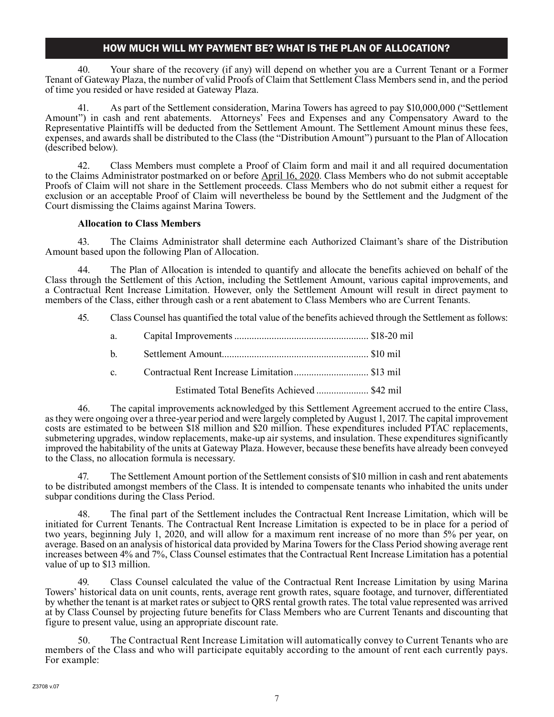# HOW MUCH WILL MY PAYMENT BE? WHAT IS THE PLAN OF ALLOCATION?

40. Your share of the recovery (if any) will depend on whether you are a Current Tenant or a Former Tenant of Gateway Plaza, the number of valid Proofs of Claim that Settlement Class Members send in, and the period of time you resided or have resided at Gateway Plaza.

41. As part of the Settlement consideration, Marina Towers has agreed to pay \$10,000,000 ("Settlement Amount") in cash and rent abatements. Attorneys' Fees and Expenses and any Compensatory Award to the Representative Plaintiffs will be deducted from the Settlement Amount. The Settlement Amount minus these fees, expenses, and awards shall be distributed to the Class (the "Distribution Amount") pursuant to the Plan of Allocation (described below).

42. Class Members must complete a Proof of Claim form and mail it and all required documentation to the Claims Administrator postmarked on or before April 16, 2020. Class Members who do not submit acceptable Proofs of Claim will not share in the Settlement proceeds. Class Members who do not submit either a request for exclusion or an acceptable Proof of Claim will nevertheless be bound by the Settlement and the Judgment of the Court dismissing the Claims against Marina Towers.

#### **Allocation to Class Members**

43. The Claims Administrator shall determine each Authorized Claimant's share of the Distribution Amount based upon the following Plan of Allocation.

44. The Plan of Allocation is intended to quantify and allocate the benefits achieved on behalf of the Class through the Settlement of this Action, including the Settlement Amount, various capital improvements, and a Contractual Rent Increase Limitation. However, only the Settlement Amount will result in direct payment to members of the Class, either through cash or a rent abatement to Class Members who are Current Tenants.

45. Class Counsel has quantified the total value of the benefits achieved through the Settlement as follows:

| a. The set of the set of the set of the set of the set of the set of the set of the set of the set of the set o |                                             |  |
|-----------------------------------------------------------------------------------------------------------------|---------------------------------------------|--|
| $h$ and $h$                                                                                                     |                                             |  |
| $\mathbf{c}$ .                                                                                                  |                                             |  |
|                                                                                                                 | Estimated Total Benefits Achieved  \$42 mil |  |

46. The capital improvements acknowledged by this Settlement Agreement accrued to the entire Class, as they were ongoing over a three-year period and were largely completed by August 1, 2017. The capital improvement costs are estimated to be between \$18 million and \$20 million. These expenditures included PTAC replacements, submetering upgrades, window replacements, make-up air systems, and insulation. These expenditures significantly improved the habitability of the units at Gateway Plaza. However, because these benefits have already been conveyed to the Class, no allocation formula is necessary.

The Settlement Amount portion of the Settlement consists of \$10 million in cash and rent abatements to be distributed amongst members of the Class. It is intended to compensate tenants who inhabited the units under subpar conditions during the Class Period.

48. The final part of the Settlement includes the Contractual Rent Increase Limitation, which will be initiated for Current Tenants. The Contractual Rent Increase Limitation is expected to be in place for a period of two years, beginning July 1, 2020, and will allow for a maximum rent increase of no more than 5% per year, on average. Based on an analysis of historical data provided by Marina Towers for the Class Period showing average rent increases between 4% and 7%, Class Counsel estimates that the Contractual Rent Increase Limitation has a potential value of up to \$13 million.

Class Counsel calculated the value of the Contractual Rent Increase Limitation by using Marina Towers' historical data on unit counts, rents, average rent growth rates, square footage, and turnover, differentiated by whether the tenant is at market rates or subject to QRS rental growth rates. The total value represented was arrived at by Class Counsel by projecting future benefits for Class Members who are Current Tenants and discounting that figure to present value, using an appropriate discount rate.

50. The Contractual Rent Increase Limitation will automatically convey to Current Tenants who are members of the Class and who will participate equitably according to the amount of rent each currently pays. For example: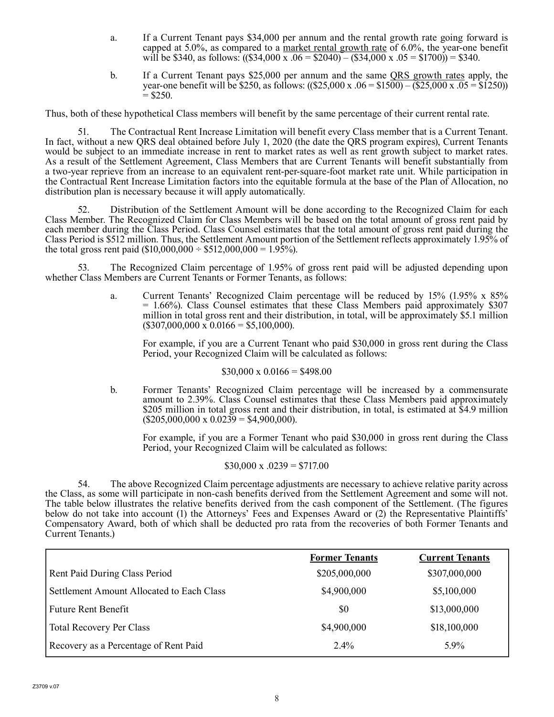- a. If a Current Tenant pays \$34,000 per annum and the rental growth rate going forward is capped at 5.0%, as compared to a market rental growth rate of 6.0%, the year-one benefit will be \$340, as follows:  $((\$34,000 \text{ x } .06 = \$2040) - (\$34,000 \text{ x } .05 = \$1700) = \$340$ .
- b. If a Current Tenant pays \$25,000 per annum and the same QRS growth rates apply, the year-one benefit will be \$250, as follows:  $((\$25,000 \times .06 = \$1500) - (\$25,000 \times .05 = \$1250))$  $=$  \$250.

Thus, both of these hypothetical Class members will benefit by the same percentage of their current rental rate.

51. The Contractual Rent Increase Limitation will benefit every Class member that is a Current Tenant. In fact, without a new QRS deal obtained before July 1, 2020 (the date the QRS program expires), Current Tenants would be subject to an immediate increase in rent to market rates as well as rent growth subject to market rates. As a result of the Settlement Agreement, Class Members that are Current Tenants will benefit substantially from a two-year reprieve from an increase to an equivalent rent-per-square-foot market rate unit. While participation in the Contractual Rent Increase Limitation factors into the equitable formula at the base of the Plan of Allocation, no distribution plan is necessary because it will apply automatically.

52. Distribution of the Settlement Amount will be done according to the Recognized Claim for each Class Member. The Recognized Claim for Class Members will be based on the total amount of gross rent paid by each member during the Class Period. Class Counsel estimates that the total amount of gross rent paid during the Class Period is \$512 million. Thus, the Settlement Amount portion of the Settlement reflects approximately 1.95% of the total gross rent paid  $(\$10,000,000 \div \$512,000,000 = 1.95\%$ ).

53. The Recognized Claim percentage of 1.95% of gross rent paid will be adjusted depending upon whether Class Members are Current Tenants or Former Tenants, as follows:

> a. Current Tenants' Recognized Claim percentage will be reduced by 15% (1.95% x 85%  $= 1.66\%$ ). Class Counsel estimates that these Class Members paid approximately \$307 million in total gross rent and their distribution, in total, will be approximately \$5.1 million  $($307,000,000 \times 0.0166 = $5,100,000).$

For example, if you are a Current Tenant who paid \$30,000 in gross rent during the Class Period, your Recognized Claim will be calculated as follows:

#### $$30,000 \times 0.0166 = $498.00$

b. Former Tenants' Recognized Claim percentage will be increased by a commensurate amount to 2.39%. Class Counsel estimates that these Class Members paid approximately \$205 million in total gross rent and their distribution, in total, is estimated at \$4.9 million  $($205,000,000 \times 0.0239 = $4,900,000).$ 

For example, if you are a Former Tenant who paid \$30,000 in gross rent during the Class Period, your Recognized Claim will be calculated as follows:

$$
$30,000 \text{ x } .0239 = $717.00
$$

54. The above Recognized Claim percentage adjustments are necessary to achieve relative parity across the Class, as some will participate in non-cash benefits derived from the Settlement Agreement and some will not. The table below illustrates the relative benefits derived from the cash component of the Settlement. (The figures below do not take into account (1) the Attorneys' Fees and Expenses Award or (2) the Representative Plaintiffs' Compensatory Award, both of which shall be deducted pro rata from the recoveries of both Former Tenants and Current Tenants.)

|                                           | <b>Former Tenants</b> | <b>Current Tenants</b> |
|-------------------------------------------|-----------------------|------------------------|
| Rent Paid During Class Period             | \$205,000,000         | \$307,000,000          |
| Settlement Amount Allocated to Each Class | \$4,900,000           | \$5,100,000            |
| <b>Future Rent Benefit</b>                | \$0                   | \$13,000,000           |
| <b>Total Recovery Per Class</b>           | \$4,900,000           | \$18,100,000           |
| Recovery as a Percentage of Rent Paid     | $2.4\%$               | 5.9%                   |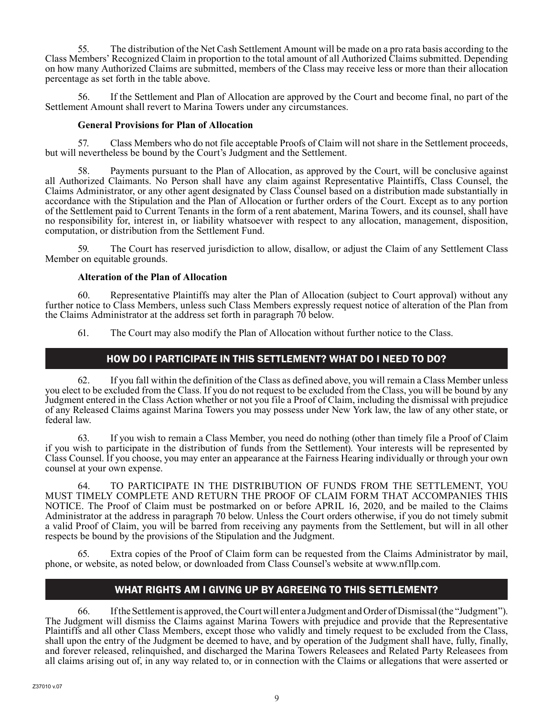55. The distribution of the Net Cash Settlement Amount will be made on a pro rata basis according to the Class Members' Recognized Claim in proportion to the total amount of all Authorized Claims submitted. Depending on how many Authorized Claims are submitted, members of the Class may receive less or more than their allocation percentage as set forth in the table above.

56. If the Settlement and Plan of Allocation are approved by the Court and become final, no part of the Settlement Amount shall revert to Marina Towers under any circumstances.

#### **General Provisions for Plan of Allocation**

57. Class Members who do not file acceptable Proofs of Claim will not share in the Settlement proceeds, but will nevertheless be bound by the Court's Judgment and the Settlement.

Payments pursuant to the Plan of Allocation, as approved by the Court, will be conclusive against all Authorized Claimants. No Person shall have any claim against Representative Plaintiffs, Class Counsel, the Claims Administrator, or any other agent designated by Class Counsel based on a distribution made substantially in accordance with the Stipulation and the Plan of Allocation or further orders of the Court. Except as to any portion of the Settlement paid to Current Tenants in the form of a rent abatement, Marina Towers, and its counsel, shall have no responsibility for, interest in, or liability whatsoever with respect to any allocation, management, disposition, computation, or distribution from the Settlement Fund.

59. The Court has reserved jurisdiction to allow, disallow, or adjust the Claim of any Settlement Class Member on equitable grounds.

#### **Alteration of the Plan of Allocation**

60. Representative Plaintiffs may alter the Plan of Allocation (subject to Court approval) without any further notice to Class Members, unless such Class Members expressly request notice of alteration of the Plan from the Claims Administrator at the address set forth in paragraph 70 below.

61. The Court may also modify the Plan of Allocation without further notice to the Class.

# HOW DO I PARTICIPATE IN THIS SETTLEMENT? WHAT DO I NEED TO DO?

62. If you fall within the definition of the Class as defined above, you will remain a Class Member unless you elect to be excluded from the Class. If you do not request to be excluded from the Class, you will be bound by any Judgment entered in the Class Action whether or not you file a Proof of Claim, including the dismissal with prejudice of any Released Claims against Marina Towers you may possess under New York law, the law of any other state, or federal law.

63. If you wish to remain a Class Member, you need do nothing (other than timely file a Proof of Claim if you wish to participate in the distribution of funds from the Settlement). Your interests will be represented by Class Counsel. If you choose, you may enter an appearance at the Fairness Hearing individually or through your own counsel at your own expense.

64. TO PARTICIPATE IN THE DISTRIBUTION OF FUNDS FROM THE SETTLEMENT, YOU MUST TIMELY COMPLETE AND RETURN THE PROOF OF CLAIM FORM THAT ACCOMPANIES THIS NOTICE. The Proof of Claim must be postmarked on or before APRIL 16, 2020, and be mailed to the Claims Administrator at the address in paragraph 70 below. Unless the Court orders otherwise, if you do not timely submit a valid Proof of Claim, you will be barred from receiving any payments from the Settlement, but will in all other respects be bound by the provisions of the Stipulation and the Judgment.

Extra copies of the Proof of Claim form can be requested from the Claims Administrator by mail, phone, or website, as noted below, or downloaded from Class Counsel's website at www.nfllp.com.

# WHAT RIGHTS AM I GIVING UP BY AGREEING TO THIS SETTLEMENT?

66. If the Settlement is approved, the Court will enter a Judgment and Order of Dismissal (the "Judgment"). The Judgment will dismiss the Claims against Marina Towers with prejudice and provide that the Representative Plaintiffs and all other Class Members, except those who validly and timely request to be excluded from the Class, shall upon the entry of the Judgment be deemed to have, and by operation of the Judgment shall have, fully, finally, and forever released, relinquished, and discharged the Marina Towers Releasees and Related Party Releasees from all claims arising out of, in any way related to, or in connection with the Claims or allegations that were asserted or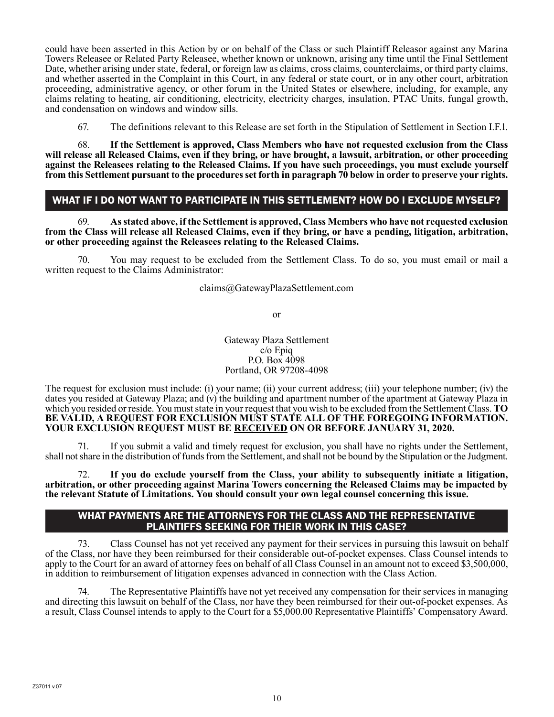could have been asserted in this Action by or on behalf of the Class or such Plaintiff Releasor against any Marina Towers Releasee or Related Party Releasee, whether known or unknown, arising any time until the Final Settlement Date, whether arising under state, federal, or foreign law as claims, cross claims, counterclaims, or third party claims, and whether asserted in the Complaint in this Court, in any federal or state court, or in any other court, arbitration proceeding, administrative agency, or other forum in the United States or elsewhere, including, for example, any claims relating to heating, air conditioning, electricity, electricity charges, insulation, PTAC Units, fungal growth, and condensation on windows and window sills.

67. The definitions relevant to this Release are set forth in the Stipulation of Settlement in Section I.F.1.

68. **If the Settlement is approved, Class Members who have not requested exclusion from the Class will release all Released Claims, even if they bring, or have brought, a lawsuit, arbitration, or other proceeding against the Releasees relating to the Released Claims. If you have such proceedings, you must exclude yourself from this Settlement pursuant to the procedures set forth in paragraph 70 below in order to preserve your rights.**

## WHAT IF I DO NOT WANT TO PARTICIPATE IN THIS SETTLEMENT? HOW DO I EXCLUDE MYSELF?

69. **As stated above, if the Settlement is approved, Class Members who have not requested exclusion from the Class will release all Released Claims, even if they bring, or have a pending, litigation, arbitration, or other proceeding against the Releasees relating to the Released Claims.**

70. You may request to be excluded from the Settlement Class. To do so, you must email or mail a written request to the Claims Administrator:

claims@GatewayPlazaSettlement.com

or

Gateway Plaza Settlement c/o Epiq P.O. Box 4098 Portland, OR 97208-4098

The request for exclusion must include: (i) your name; (ii) your current address; (iii) your telephone number; (iv) the dates you resided at Gateway Plaza; and (v) the building and apartment number of the apartment at Gateway Plaza in which you resided or reside. You must state in your request that you wish to be excluded from the Settlement Class. **TO BE VALID, A REQUEST FOR EXCLUSION MUST STATE ALL OF THE FOREGOING INFORMATION. YOUR EXCLUSION REQUEST MUST BE RECEIVED ON OR BEFORE JANUARY 31, 2020.**

71. If you submit a valid and timely request for exclusion, you shall have no rights under the Settlement, shall not share in the distribution of funds from the Settlement, and shall not be bound by the Stipulation or the Judgment.

72. **If you do exclude yourself from the Class, your ability to subsequently initiate a litigation, arbitration, or other proceeding against Marina Towers concerning the Released Claims may be impacted by the relevant Statute of Limitations. You should consult your own legal counsel concerning this issue.** 

#### WHAT PAYMENTS ARE THE ATTORNEYS FOR THE CLASS AND THE REPRESENTATIVE PLAINTIFFS SEEKING FOR THEIR WORK IN THIS CASE?

73. Class Counsel has not yet received any payment for their services in pursuing this lawsuit on behalf of the Class, nor have they been reimbursed for their considerable out-of-pocket expenses. Class Counsel intends to apply to the Court for an award of attorney fees on behalf of all Class Counsel in an amount not to exceed \$3,500,000, in addition to reimbursement of litigation expenses advanced in connection with the Class Action.

The Representative Plaintiffs have not yet received any compensation for their services in managing and directing this lawsuit on behalf of the Class, nor have they been reimbursed for their out-of-pocket expenses. As a result, Class Counsel intends to apply to the Court for a \$5,000.00 Representative Plaintiffs' Compensatory Award.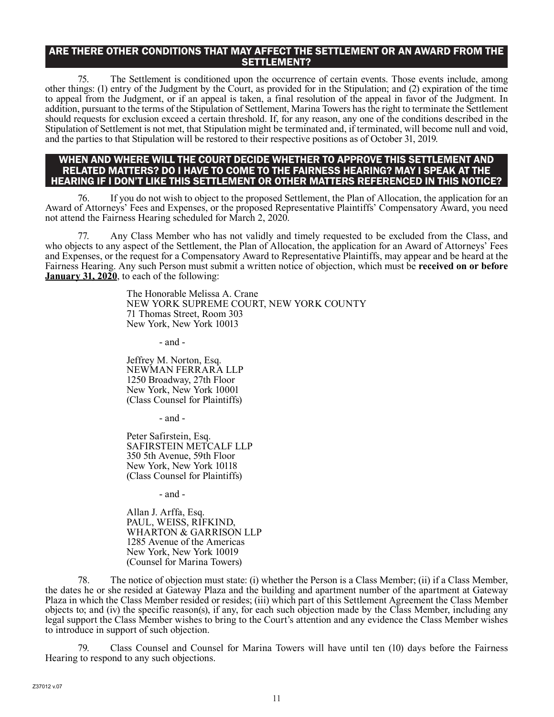#### ARE THERE OTHER CONDITIONS THAT MAY AFFECT THE SETTLEMENT OR AN AWARD FROM THE SETTLEMENT?

75. The Settlement is conditioned upon the occurrence of certain events. Those events include, among other things: (1) entry of the Judgment by the Court, as provided for in the Stipulation; and (2) expiration of the time to appeal from the Judgment, or if an appeal is taken, a final resolution of the appeal in favor of the Judgment. In addition, pursuant to the terms of the Stipulation of Settlement, Marina Towers has the right to terminate the Settlement should requests for exclusion exceed a certain threshold. If, for any reason, any one of the conditions described in the Stipulation of Settlement is not met, that Stipulation might be terminated and, if terminated, will become null and void, and the parties to that Stipulation will be restored to their respective positions as of October 31, 2019.

#### WHEN AND WHERE WILL THE COURT DECIDE WHETHER TO APPROVE THIS SETTLEMENT AND RELATED MATTERS? DO I HAVE TO COME TO THE FAIRNESS HEARING? MAY I SPEAK AT THE HEARING IF I DON'T LIKE THIS SETTLEMENT OR OTHER MATTERS REFERENCED IN THIS NOTICE?

76. If you do not wish to object to the proposed Settlement, the Plan of Allocation, the application for an Award of Attorneys' Fees and Expenses, or the proposed Representative Plaintiffs' Compensatory Award, you need not attend the Fairness Hearing scheduled for March 2, 2020.

77. Any Class Member who has not validly and timely requested to be excluded from the Class, and who objects to any aspect of the Settlement, the Plan of Allocation, the application for an Award of Attorneys' Fees and Expenses, or the request for a Compensatory Award to Representative Plaintiffs, may appear and be heard at the Fairness Hearing. Any such Person must submit a written notice of objection, which must be **received on or before January 31, 2020**, to each of the following:

> The Honorable Melissa A. Crane NEW YORK SUPREME COURT, NEW YORK COUNTY 71 Thomas Street, Room 303 New York, New York 10013

> > - and -

Jeffrey M. Norton, Esq. NEWMAN FERRARA LLP 1250 Broadway, 27th Floor New York, New York 10001 (Class Counsel for Plaintiffs)

- and -

Peter Safirstein, Esq. SAFIRSTEIN METCALF LLP 350 5th Avenue, 59th Floor New York, New York 10118 (Class Counsel for Plaintiffs)

- and -

Allan J. Arffa, Esq. PAUL, WEISS, RIFKIND, WHARTON & GARRISON LLP 1285 Avenue of the Americas New York, New York 10019 (Counsel for Marina Towers)

78. The notice of objection must state: (i) whether the Person is a Class Member; (ii) if a Class Member, the dates he or she resided at Gateway Plaza and the building and apartment number of the apartment at Gateway Plaza in which the Class Member resided or resides; (iii) which part of this Settlement Agreement the Class Member objects to; and (iv) the specific reason(s), if any, for each such objection made by the Class Member, including any legal support the Class Member wishes to bring to the Court's attention and any evidence the Class Member wishes to introduce in support of such objection.

79. Class Counsel and Counsel for Marina Towers will have until ten (10) days before the Fairness Hearing to respond to any such objections.